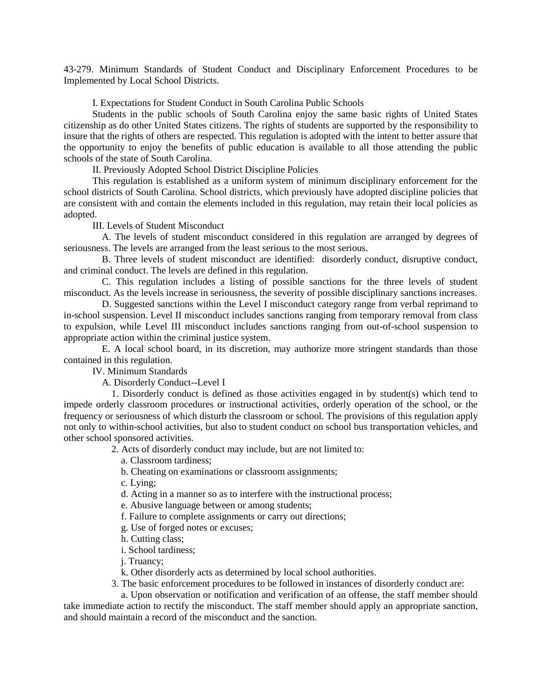43-279. Minimum Standards of Student Conduct and Disciplinary Enforcement Procedures to be Implemented by Local School Districts.

I. Expectations for Student Conduct in South Carolina Public Schools

Students in the public schools of South Carolina enjoy the same basic rights of United States citizenship as do other United States citizens. The rights of students are supported by the responsibility to insure that the rights of others are respected. This regulation is adopted with the intent to better assure that the opportunity to enjoy the benefits of public education is available to all those attending the public schools of the state of South Carolina.

II. Previously Adopted School District Discipline Policies

This regulation is established as a uniform system of minimum disciplinary enforcement for the school districts of South Carolina. School districts, which previously have adopted discipline policies that are consistent with and contain the elements included in this regulation, may retain their local policies as adopted.

III. Levels of Student Misconduct

A. The levels of student misconduct considered in this regulation are arranged by degrees of seriousness. The levels are arranged from the least serious to the most serious.

B. Three levels of student misconduct are identified: disorderly conduct, disruptive conduct, and criminal conduct. The levels are defined in this regulation.

C. This regulation includes a listing of possible sanctions for the three levels of student misconduct. As the levels increase in seriousness, the severity of possible disciplinary sanctions increases.

D. Suggested sanctions within the Level I misconduct category range from verbal reprimand to in-school suspension. Level II misconduct includes sanctions ranging from temporary removal from class to expulsion, while Level III misconduct includes sanctions ranging from out-of-school suspension to appropriate action within the criminal justice system.

E. A local school board, in its discretion, may authorize more stringent standards than those contained in this regulation.

IV. Minimum Standards

A. Disorderly Conduct--Level I

1. Disorderly conduct is defined as those activities engaged in by student(s) which tend to impede orderly classroom procedures or instructional activities, orderly operation of the school, or the frequency or seriousness of which disturb the classroom or school. The provisions of this regulation apply not only to within-school activities, but also to student conduct on school bus transportation vehicles, and other school sponsored activities.

2. Acts of disorderly conduct may include, but are not limited to:

a. Classroom tardiness;

b. Cheating on examinations or classroom assignments;

c. Lying;

d. Acting in a manner so as to interfere with the instructional process;

e. Abusive language between or among students;

f. Failure to complete assignments or carry out directions;

g. Use of forged notes or excuses;

h. Cutting class;

i. School tardiness;

j. Truancy;

k. Other disorderly acts as determined by local school authorities.

3. The basic enforcement procedures to be followed in instances of disorderly conduct are:

a. Upon observation or notification and verification of an offense, the staff member should take immediate action to rectify the misconduct. The staff member should apply an appropriate sanction, and should maintain a record of the misconduct and the sanction.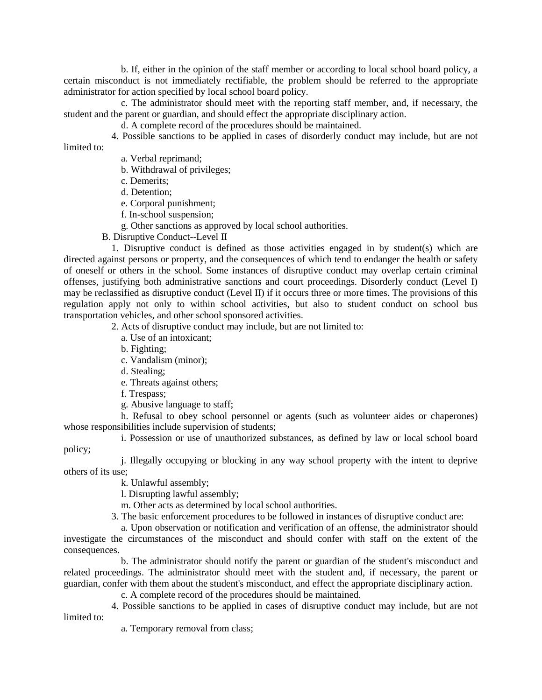b. If, either in the opinion of the staff member or according to local school board policy, a certain misconduct is not immediately rectifiable, the problem should be referred to the appropriate administrator for action specified by local school board policy.

c. The administrator should meet with the reporting staff member, and, if necessary, the student and the parent or guardian, and should effect the appropriate disciplinary action.

d. A complete record of the procedures should be maintained.

4. Possible sanctions to be applied in cases of disorderly conduct may include, but are not limited to:

a. Verbal reprimand;

b. Withdrawal of privileges;

c. Demerits;

d. Detention;

e. Corporal punishment;

f. In-school suspension;

g. Other sanctions as approved by local school authorities.

B. Disruptive Conduct--Level II

1. Disruptive conduct is defined as those activities engaged in by student(s) which are directed against persons or property, and the consequences of which tend to endanger the health or safety of oneself or others in the school. Some instances of disruptive conduct may overlap certain criminal offenses, justifying both administrative sanctions and court proceedings. Disorderly conduct (Level I) may be reclassified as disruptive conduct (Level II) if it occurs three or more times. The provisions of this regulation apply not only to within school activities, but also to student conduct on school bus transportation vehicles, and other school sponsored activities.

2. Acts of disruptive conduct may include, but are not limited to:

a. Use of an intoxicant;

b. Fighting;

c. Vandalism (minor);

d. Stealing;

e. Threats against others;

f. Trespass;

g. Abusive language to staff;

h. Refusal to obey school personnel or agents (such as volunteer aides or chaperones) whose responsibilities include supervision of students;

i. Possession or use of unauthorized substances, as defined by law or local school board policy;

j. Illegally occupying or blocking in any way school property with the intent to deprive others of its use;

k. Unlawful assembly;

l. Disrupting lawful assembly;

m. Other acts as determined by local school authorities.

3. The basic enforcement procedures to be followed in instances of disruptive conduct are:

a. Upon observation or notification and verification of an offense, the administrator should investigate the circumstances of the misconduct and should confer with staff on the extent of the consequences.

b. The administrator should notify the parent or guardian of the student's misconduct and related proceedings. The administrator should meet with the student and, if necessary, the parent or guardian, confer with them about the student's misconduct, and effect the appropriate disciplinary action.

c. A complete record of the procedures should be maintained.

4. Possible sanctions to be applied in cases of disruptive conduct may include, but are not limited to:

a. Temporary removal from class;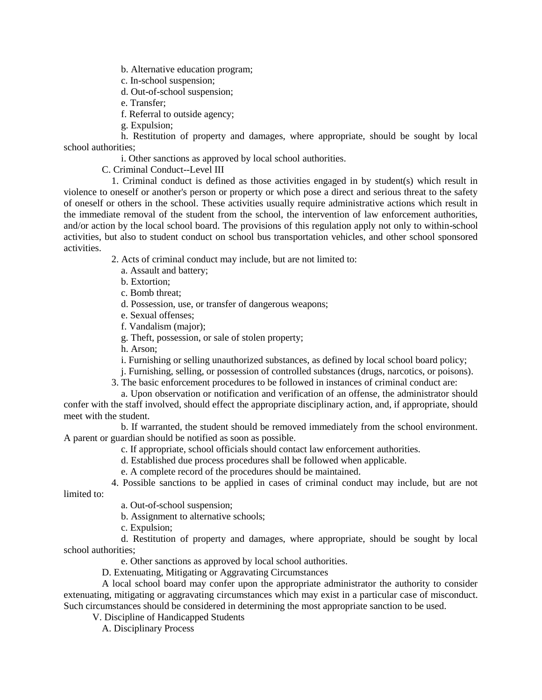b. Alternative education program;

- c. In-school suspension;
- d. Out-of-school suspension;
- e. Transfer;
- f. Referral to outside agency;
- g. Expulsion;

h. Restitution of property and damages, where appropriate, should be sought by local school authorities;

i. Other sanctions as approved by local school authorities.

C. Criminal Conduct--Level III

1. Criminal conduct is defined as those activities engaged in by student(s) which result in violence to oneself or another's person or property or which pose a direct and serious threat to the safety of oneself or others in the school. These activities usually require administrative actions which result in the immediate removal of the student from the school, the intervention of law enforcement authorities, and/or action by the local school board. The provisions of this regulation apply not only to within-school activities, but also to student conduct on school bus transportation vehicles, and other school sponsored activities.

- 2. Acts of criminal conduct may include, but are not limited to:
	- a. Assault and battery;
	- b. Extortion;
	- c. Bomb threat;
	- d. Possession, use, or transfer of dangerous weapons;
	- e. Sexual offenses;
	- f. Vandalism (major);
	- g. Theft, possession, or sale of stolen property;
	- h. Arson;
	- i. Furnishing or selling unauthorized substances, as defined by local school board policy;
	- j. Furnishing, selling, or possession of controlled substances (drugs, narcotics, or poisons).
- 3. The basic enforcement procedures to be followed in instances of criminal conduct are:

a. Upon observation or notification and verification of an offense, the administrator should confer with the staff involved, should effect the appropriate disciplinary action, and, if appropriate, should meet with the student.

b. If warranted, the student should be removed immediately from the school environment. A parent or guardian should be notified as soon as possible.

- c. If appropriate, school officials should contact law enforcement authorities.
- d. Established due process procedures shall be followed when applicable.
- e. A complete record of the procedures should be maintained.

4. Possible sanctions to be applied in cases of criminal conduct may include, but are not

limited to:

- a. Out-of-school suspension;
- b. Assignment to alternative schools;
- c. Expulsion;

d. Restitution of property and damages, where appropriate, should be sought by local school authorities;

e. Other sanctions as approved by local school authorities.

D. Extenuating, Mitigating or Aggravating Circumstances

A local school board may confer upon the appropriate administrator the authority to consider extenuating, mitigating or aggravating circumstances which may exist in a particular case of misconduct. Such circumstances should be considered in determining the most appropriate sanction to be used.

V. Discipline of Handicapped Students

A. Disciplinary Process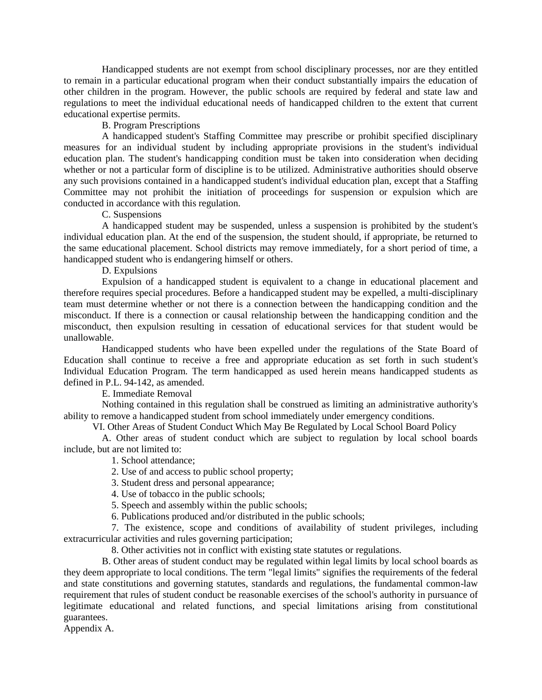Handicapped students are not exempt from school disciplinary processes, nor are they entitled to remain in a particular educational program when their conduct substantially impairs the education of other children in the program. However, the public schools are required by federal and state law and regulations to meet the individual educational needs of handicapped children to the extent that current educational expertise permits.

## B. Program Prescriptions

A handicapped student's Staffing Committee may prescribe or prohibit specified disciplinary measures for an individual student by including appropriate provisions in the student's individual education plan. The student's handicapping condition must be taken into consideration when deciding whether or not a particular form of discipline is to be utilized. Administrative authorities should observe any such provisions contained in a handicapped student's individual education plan, except that a Staffing Committee may not prohibit the initiation of proceedings for suspension or expulsion which are conducted in accordance with this regulation.

## C. Suspensions

A handicapped student may be suspended, unless a suspension is prohibited by the student's individual education plan. At the end of the suspension, the student should, if appropriate, be returned to the same educational placement. School districts may remove immediately, for a short period of time, a handicapped student who is endangering himself or others.

D. Expulsions

Expulsion of a handicapped student is equivalent to a change in educational placement and therefore requires special procedures. Before a handicapped student may be expelled, a multi-disciplinary team must determine whether or not there is a connection between the handicapping condition and the misconduct. If there is a connection or causal relationship between the handicapping condition and the misconduct, then expulsion resulting in cessation of educational services for that student would be unallowable.

Handicapped students who have been expelled under the regulations of the State Board of Education shall continue to receive a free and appropriate education as set forth in such student's Individual Education Program. The term handicapped as used herein means handicapped students as defined in P.L. 94-142, as amended.

E. Immediate Removal

Nothing contained in this regulation shall be construed as limiting an administrative authority's ability to remove a handicapped student from school immediately under emergency conditions.

VI. Other Areas of Student Conduct Which May Be Regulated by Local School Board Policy

A. Other areas of student conduct which are subject to regulation by local school boards include, but are not limited to:

1. School attendance;

2. Use of and access to public school property;

3. Student dress and personal appearance;

4. Use of tobacco in the public schools;

5. Speech and assembly within the public schools;

6. Publications produced and/or distributed in the public schools;

7. The existence, scope and conditions of availability of student privileges, including extracurricular activities and rules governing participation;

8. Other activities not in conflict with existing state statutes or regulations.

B. Other areas of student conduct may be regulated within legal limits by local school boards as they deem appropriate to local conditions. The term "legal limits" signifies the requirements of the federal and state constitutions and governing statutes, standards and regulations, the fundamental common-law requirement that rules of student conduct be reasonable exercises of the school's authority in pursuance of legitimate educational and related functions, and special limitations arising from constitutional guarantees.

Appendix A.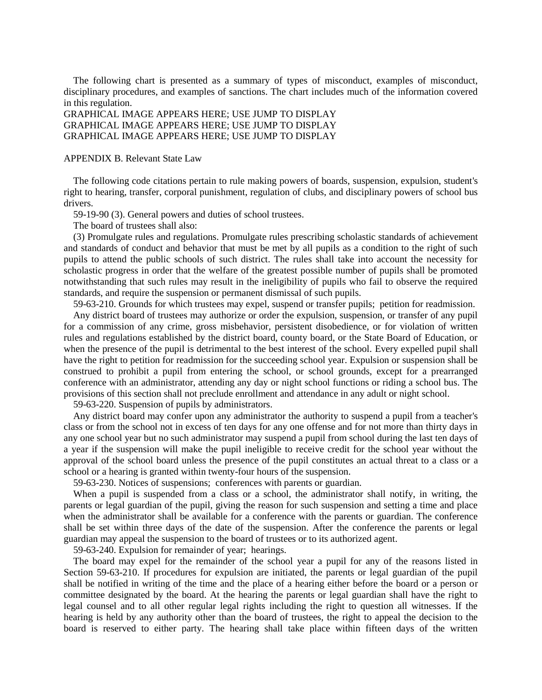The following chart is presented as a summary of types of misconduct, examples of misconduct, disciplinary procedures, and examples of sanctions. The chart includes much of the information covered in this regulation.

GRAPHICAL IMAGE APPEARS HERE; USE JUMP TO DISPLAY GRAPHICAL IMAGE APPEARS HERE; USE JUMP TO DISPLAY GRAPHICAL IMAGE APPEARS HERE; USE JUMP TO DISPLAY

APPENDIX B. Relevant State Law

The following code citations pertain to rule making powers of boards, suspension, expulsion, student's right to hearing, transfer, corporal punishment, regulation of clubs, and disciplinary powers of school bus drivers.

59-19-90 (3). General powers and duties of school trustees.

The board of trustees shall also:

(3) Promulgate rules and regulations. Promulgate rules prescribing scholastic standards of achievement and standards of conduct and behavior that must be met by all pupils as a condition to the right of such pupils to attend the public schools of such district. The rules shall take into account the necessity for scholastic progress in order that the welfare of the greatest possible number of pupils shall be promoted notwithstanding that such rules may result in the ineligibility of pupils who fail to observe the required standards, and require the suspension or permanent dismissal of such pupils.

59-63-210. Grounds for which trustees may expel, suspend or transfer pupils; petition for readmission. Any district board of trustees may authorize or order the expulsion, suspension, or transfer of any pupil for a commission of any crime, gross misbehavior, persistent disobedience, or for violation of written rules and regulations established by the district board, county board, or the State Board of Education, or when the presence of the pupil is detrimental to the best interest of the school. Every expelled pupil shall have the right to petition for readmission for the succeeding school year. Expulsion or suspension shall be construed to prohibit a pupil from entering the school, or school grounds, except for a prearranged conference with an administrator, attending any day or night school functions or riding a school bus. The provisions of this section shall not preclude enrollment and attendance in any adult or night school.

59-63-220. Suspension of pupils by administrators.

Any district board may confer upon any administrator the authority to suspend a pupil from a teacher's class or from the school not in excess of ten days for any one offense and for not more than thirty days in any one school year but no such administrator may suspend a pupil from school during the last ten days of a year if the suspension will make the pupil ineligible to receive credit for the school year without the approval of the school board unless the presence of the pupil constitutes an actual threat to a class or a school or a hearing is granted within twenty-four hours of the suspension.

59-63-230. Notices of suspensions; conferences with parents or guardian.

When a pupil is suspended from a class or a school, the administrator shall notify, in writing, the parents or legal guardian of the pupil, giving the reason for such suspension and setting a time and place when the administrator shall be available for a conference with the parents or guardian. The conference shall be set within three days of the date of the suspension. After the conference the parents or legal guardian may appeal the suspension to the board of trustees or to its authorized agent.

59-63-240. Expulsion for remainder of year; hearings.

The board may expel for the remainder of the school year a pupil for any of the reasons listed in Section 59-63-210. If procedures for expulsion are initiated, the parents or legal guardian of the pupil shall be notified in writing of the time and the place of a hearing either before the board or a person or committee designated by the board. At the hearing the parents or legal guardian shall have the right to legal counsel and to all other regular legal rights including the right to question all witnesses. If the hearing is held by any authority other than the board of trustees, the right to appeal the decision to the board is reserved to either party. The hearing shall take place within fifteen days of the written